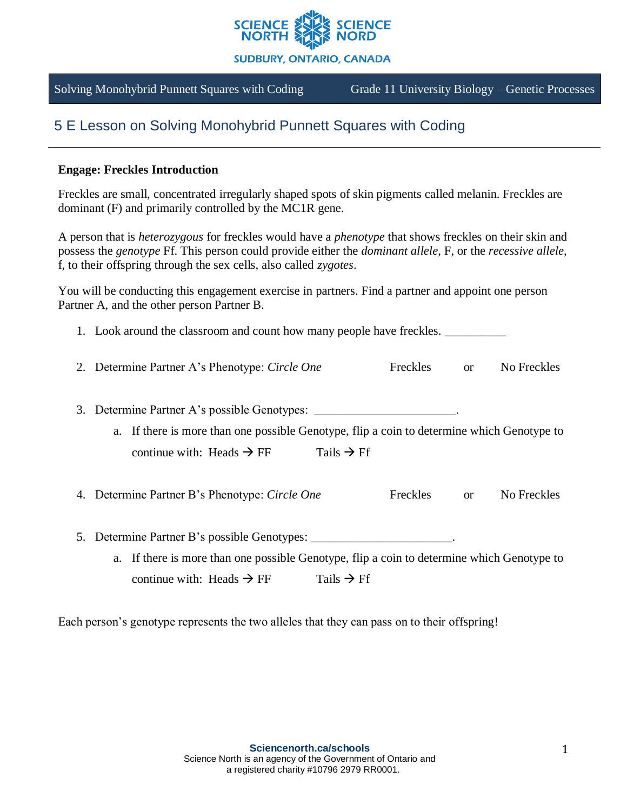

#### Solving Monohybrid Punnett Squares with Coding Grade 11 University Biology – Genetic Processes

# 5 E Lesson on Solving Monohybrid Punnett Squares with Coding

#### **Engage: Freckles Introduction**

Freckles are small, concentrated irregularly shaped spots of skin pigments called melanin. Freckles are dominant (F) and primarily controlled by the MC1R gene.

A person that is *heterozygous* for freckles would have a *phenotype* that shows freckles on their skin and possess the *genotype* Ff. This person could provide either the *dominant allele*, F, or the *recessive allele*, f, to their offspring through the sex cells, also called *zygotes*.

You will be conducting this engagement exercise in partners. Find a partner and appoint one person Partner A, and the other person Partner B.

1. Look around the classroom and count how many people have freckles.

| 2. Determine Partner A's Phenotype: Circle One | Freckles | No Freckles |
|------------------------------------------------|----------|-------------|
|                                                |          |             |

3. Determine Partner A's possible Genotypes:

a. If there is more than one possible Genotype, flip a coin to determine which Genotype to continue with: Heads  $\rightarrow$  FF Tails  $\rightarrow$  Ff

4. Determine Partner B's Phenotype: *Circle One* Freckles or No Freckles

- 5. Determine Partner B's possible Genotypes: \_\_\_\_\_\_\_\_\_\_\_\_\_\_\_\_\_\_\_\_\_\_\_.
	- a. If there is more than one possible Genotype, flip a coin to determine which Genotype to continue with: Heads  $\rightarrow$  FF Tails  $\rightarrow$  Ff

Each person's genotype represents the two alleles that they can pass on to their offspring!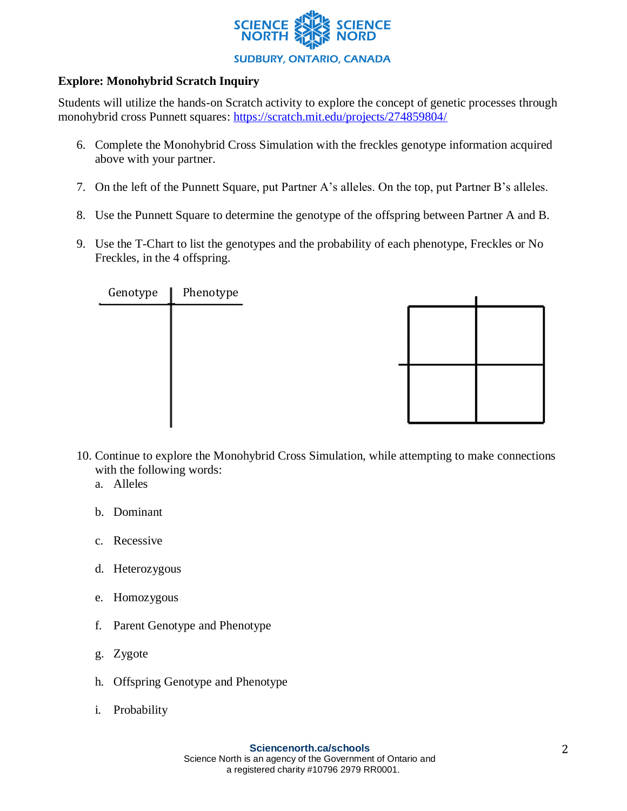

### **Explore: Monohybrid Scratch Inquiry**

Students will utilize the hands-on Scratch activity to explore the concept of genetic processes through monohybrid cross Punnett squares:<https://scratch.mit.edu/projects/274859804/>

- 6. Complete the Monohybrid Cross Simulation with the freckles genotype information acquired above with your partner.
- 7. On the left of the Punnett Square, put Partner A's alleles. On the top, put Partner B's alleles.
- 8. Use the Punnett Square to determine the genotype of the offspring between Partner A and B.
- 9. Use the T-Chart to list the genotypes and the probability of each phenotype, Freckles or No Freckles, in the 4 offspring.



- 10. Continue to explore the Monohybrid Cross Simulation, while attempting to make connections with the following words:
	- a. Alleles
	- b. Dominant
	- c. Recessive
	- d. Heterozygous
	- e. Homozygous
	- f. Parent Genotype and Phenotype
	- g. Zygote
	- h. Offspring Genotype and Phenotype
	- i. Probability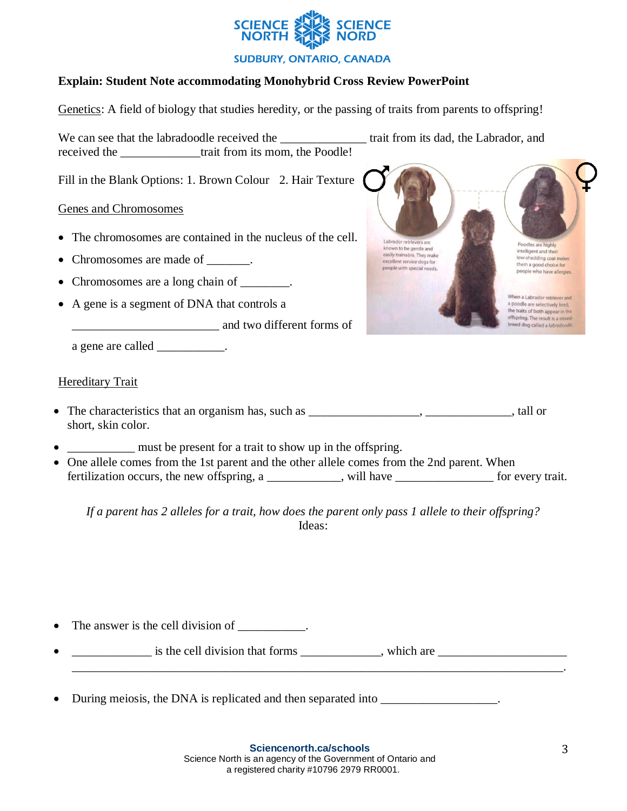

#### **SUDBURY, ONTARIO, CANADA**

#### **Explain: Student Note accommodating Monohybrid Cross Review PowerPoint**

Genetics: A field of biology that studies heredity, or the passing of traits from parents to offspring!

We can see that the labradoodle received the \_\_\_\_\_\_\_\_\_\_\_\_\_\_\_\_\_ trait from its dad, the Labrador, and received the \_\_\_\_\_\_\_\_\_\_\_\_\_trait from its mom, the Poodle!

Fill in the Blank Options: 1. Brown Colour 2. Hair Texture

#### Genes and Chromosomes

- The chromosomes are contained in the nucleus of the cell.
- Chromosomes are made of  $\qquad \qquad$ .
- Chromosomes are a long chain of \_\_\_\_\_\_\_.
- A gene is a segment of DNA that controls a

\_\_\_\_\_\_\_\_\_\_\_\_\_\_\_\_\_\_\_\_\_\_\_\_ and two different forms of

a gene are called \_\_\_\_\_\_\_\_\_\_\_.

#### **Hereditary Trait**



- The characteristics that an organism has, such as \_\_\_\_\_\_\_\_\_\_\_\_\_\_\_\_\_\_\_\_, \_\_\_\_\_\_\_\_\_\_\_\_\_, tall or short, skin color.
- must be present for a trait to show up in the offspring.
- One allele comes from the 1st parent and the other allele comes from the 2nd parent. When fertilization occurs, the new offspring, a \_\_\_\_\_\_\_\_\_\_, will have \_\_\_\_\_\_\_\_\_\_\_\_\_\_\_\_ for every trait.

*If a parent has 2 alleles for a trait, how does the parent only pass 1 allele to their offspring?* Ideas:

• The answer is the cell division of  $\blacksquare$ .

 $\frac{1}{\sqrt{1-\frac{1}{2}}}\$  is the cell division that forms  $\frac{1}{\sqrt{1-\frac{1}{2}}}\$ , which are  $\frac{1}{\sqrt{1-\frac{1}{2}}}\$ 

\_\_\_\_\_\_\_\_\_\_\_\_\_\_\_\_\_\_\_\_\_\_\_\_\_\_\_\_\_\_\_\_\_\_\_\_\_\_\_\_\_\_\_\_\_\_\_\_\_\_\_\_\_\_\_\_\_\_\_\_\_\_\_\_\_\_\_\_\_\_\_\_\_\_\_\_\_\_\_\_.

• During meiosis, the DNA is replicated and then separated into \_\_\_\_\_\_\_\_\_\_\_\_\_\_\_\_.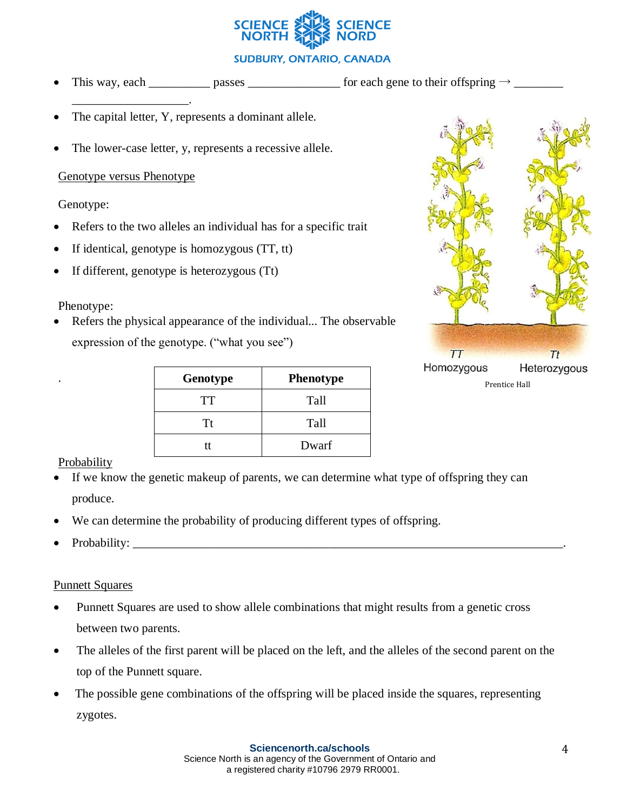

### **SUDBURY, ONTARIO, CANADA**

This way, each \_\_\_\_\_\_\_\_\_\_ passes \_\_\_\_\_\_\_\_\_\_\_\_\_ for each gene to their offspring  $\rightarrow \_$ \_\_\_\_\_\_\_\_\_\_\_\_\_\_\_\_\_\_\_.

- The capital letter, Y, represents a dominant allele.
- The lower-case letter, y, represents a recessive allele.

## Genotype versus Phenotype

# Genotype:

- Refers to the two alleles an individual has for a specific trait
- If identical, genotype is homozygous (TT, tt)
- If different, genotype is heterozygous (Tt)

#### Phenotype:

.

Refers the physical appearance of the individual... The observable expression of the genotype. ("what you see")

| Genotype | <b>Phenotype</b> |  |
|----------|------------------|--|
| TT       | Tall             |  |
| Tt       | Tall             |  |
| tt       | Dwarf            |  |



Prentice Hall

# Probability

- If we know the genetic makeup of parents, we can determine what type of offspring they can produce.
- We can determine the probability of producing different types of offspring.
- Probability:

# Punnett Squares

- Punnett Squares are used to show allele combinations that might results from a genetic cross between two parents.
- The alleles of the first parent will be placed on the left, and the alleles of the second parent on the top of the Punnett square.
- The possible gene combinations of the offspring will be placed inside the squares, representing zygotes.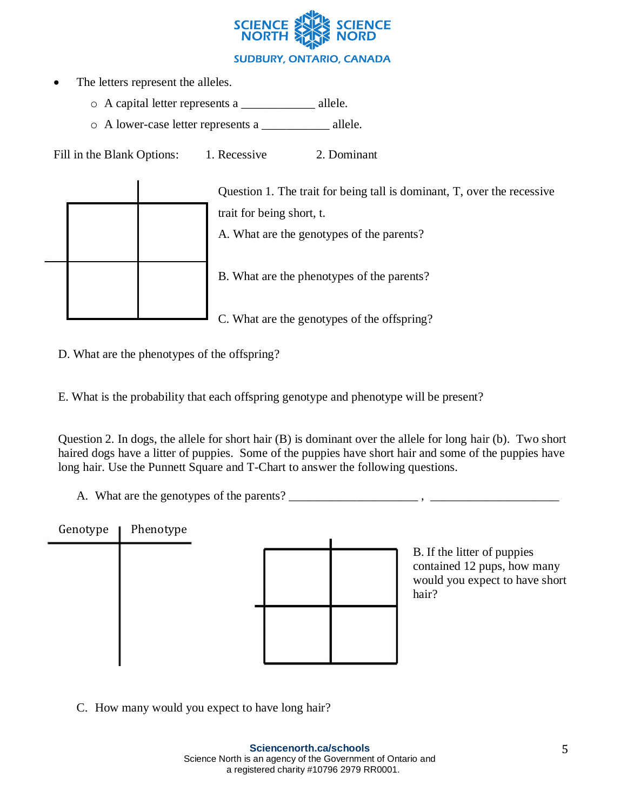

- The letters represent the alleles.
	- o A capital letter represents a \_\_\_\_\_\_\_\_\_\_\_\_ allele.
	- o A lower-case letter represents a \_\_\_\_\_\_\_\_\_\_\_ allele.

Fill in the Blank Options: 1. Recessive 2. Dominant

|  | Question 1. The trait for being tall is dominant, T, over the recessive |
|--|-------------------------------------------------------------------------|
|  | trait for being short, t.                                               |
|  | A. What are the genotypes of the parents?                               |
|  |                                                                         |
|  | B. What are the phenotypes of the parents?                              |
|  |                                                                         |
|  | C. What are the genotypes of the offspring?                             |

D. What are the phenotypes of the offspring?

E. What is the probability that each offspring genotype and phenotype will be present?

Question 2. In dogs, the allele for short hair (B) is dominant over the allele for long hair (b). Two short haired dogs have a litter of puppies. Some of the puppies have short hair and some of the puppies have long hair. Use the Punnett Square and T-Chart to answer the following questions.

A. What are the genotypes of the parents?



C. How many would you expect to have long hair?